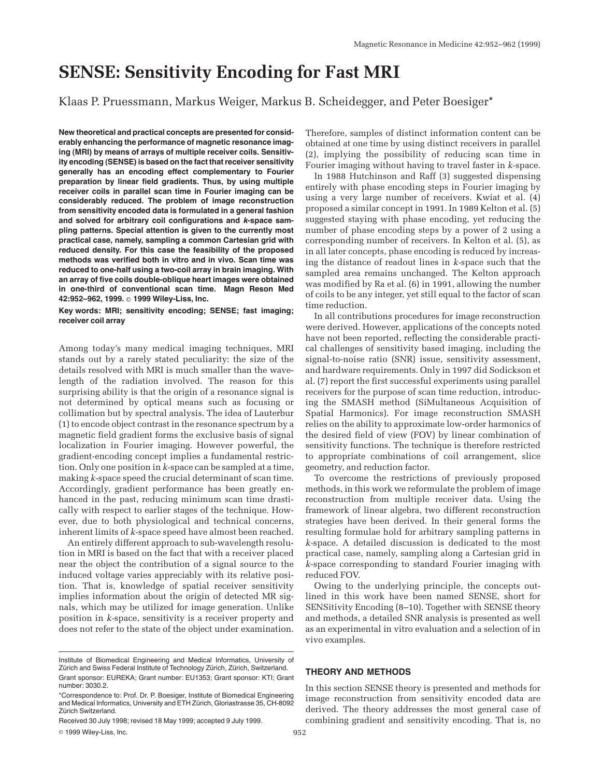# **SENSE: Sensitivity Encoding for Fast MRI**

Klaas P. Pruessmann, Markus Weiger, Markus B. Scheidegger, and Peter Boesiger\*

**New theoretical and practical concepts are presented for considerably enhancing the performance of magnetic resonance imaging (MRI) by means of arrays of multiple receiver coils. Sensitivity encoding (SENSE) is based on the fact that receiver sensitivity generally has an encoding effect complementary to Fourier preparation by linear field gradients. Thus, by using multiple receiver coils in parallel scan time in Fourier imaging can be considerably reduced. The problem of image reconstruction from sensitivity encoded data is formulated in a general fashion and solved for arbitrary coil configurations and k-space sampling patterns. Special attention is given to the currently most practical case, namely, sampling a common Cartesian grid with reduced density. For this case the feasibility of the proposed methods was verified both in vitro and in vivo. Scan time was reduced to one-half using a two-coil array in brain imaging. With an array of five coils double-oblique heart images were obtained in one-third of conventional scan time. Magn Reson Med 42:952–962, 1999.** ! **1999 Wiley-Liss, Inc.**

**Key words: MRI; sensitivity encoding; SENSE; fast imaging; receiver coil array**

Among today's many medical imaging techniques, MRI stands out by a rarely stated peculiarity: the size of the details resolved with MRI is much smaller than the wavelength of the radiation involved. The reason for this surprising ability is that the origin of a resonance signal is not determined by optical means such as focusing or collimation but by spectral analysis. The idea of Lauterbur (1) to encode object contrast in the resonance spectrum by a magnetic field gradient forms the exclusive basis of signal localization in Fourier imaging. However powerful, the gradient-encoding concept implies a fundamental restriction. Only one position in *k-*space can be sampled at a time, making *k-*space speed the crucial determinant of scan time. Accordingly, gradient performance has been greatly enhanced in the past, reducing minimum scan time drastically with respect to earlier stages of the technique. However, due to both physiological and technical concerns, inherent limits of *k-*space speed have almost been reached.

An entirely different approach to sub-wavelength resolution in MRI is based on the fact that with a receiver placed near the object the contribution of a signal source to the induced voltage varies appreciably with its relative position. That is, knowledge of spatial receiver sensitivity implies information about the origin of detected MR signals, which may be utilized for image generation. Unlike position in *k-*space, sensitivity is a receiver property and does not refer to the state of the object under examination.

Received 30 July 1998; revised 18 May 1999; accepted 9 July 1999.

Therefore, samples of distinct information content can be obtained at one time by using distinct receivers in parallel (2), implying the possibility of reducing scan time in Fourier imaging without having to travel faster in *k-*space.

In 1988 Hutchinson and Raff (3) suggested dispensing entirely with phase encoding steps in Fourier imaging by using a very large number of receivers. Kwiat et al. (4) proposed a similar concept in 1991. In 1989 Kelton et al. (5) suggested staying with phase encoding, yet reducing the number of phase encoding steps by a power of 2 using a corresponding number of receivers. In Kelton et al. (5), as in all later concepts, phase encoding is reduced by increasing the distance of readout lines in *k-*space such that the sampled area remains unchanged. The Kelton approach was modified by Ra et al. (6) in 1991, allowing the number of coils to be any integer, yet still equal to the factor of scan time reduction.

In all contributions procedures for image reconstruction were derived. However, applications of the concepts noted have not been reported, reflecting the considerable practical challenges of sensitivity based imaging, including the signal-to-noise ratio (SNR) issue, sensitivity assessment, and hardware requirements. Only in 1997 did Sodickson et al. (7) report the first successful experiments using parallel receivers for the purpose of scan time reduction, introducing the SMASH method (SiMultaneous Acquisition of Spatial Harmonics). For image reconstruction SMASH relies on the ability to approximate low-order harmonics of the desired field of view (FOV) by linear combination of sensitivity functions. The technique is therefore restricted to appropriate combinations of coil arrangement, slice geometry, and reduction factor.

To overcome the restrictions of previously proposed methods, in this work we reformulate the problem of image reconstruction from multiple receiver data. Using the framework of linear algebra, two different reconstruction strategies have been derived. In their general forms the resulting formulae hold for arbitrary sampling patterns in *k-*space. A detailed discussion is dedicated to the most practical case, namely, sampling along a Cartesian grid in *k*-space corresponding to standard Fourier imaging with reduced FOV.

Owing to the underlying principle, the concepts outlined in this work have been named SENSE, short for SENSitivity Encoding (8–10). Together with SENSE theory and methods, a detailed SNR analysis is presented as well as an experimental in vitro evaluation and a selection of in vivo examples.

# **THEORY AND METHODS**

In this section SENSE theory is presented and methods for image reconstruction from sensitivity encoded data are derived. The theory addresses the most general case of combining gradient and sensitivity encoding. That is, no

Institute of Biomedical Engineering and Medical Informatics, University of Zürich and Swiss Federal Institute of Technology Zürich, Zürich, Switzerland. Grant sponsor: EUREKA; Grant number: EU1353; Grant sponsor: KTI; Grant number: 3030.2.

<sup>\*</sup>Correspondence to: Prof. Dr. P. Boesiger, Institute of Biomedical Engineering and Medical Informatics, University and ETH Zürich, Gloriastrasse 35, CH-8092 Zürich Switzerland.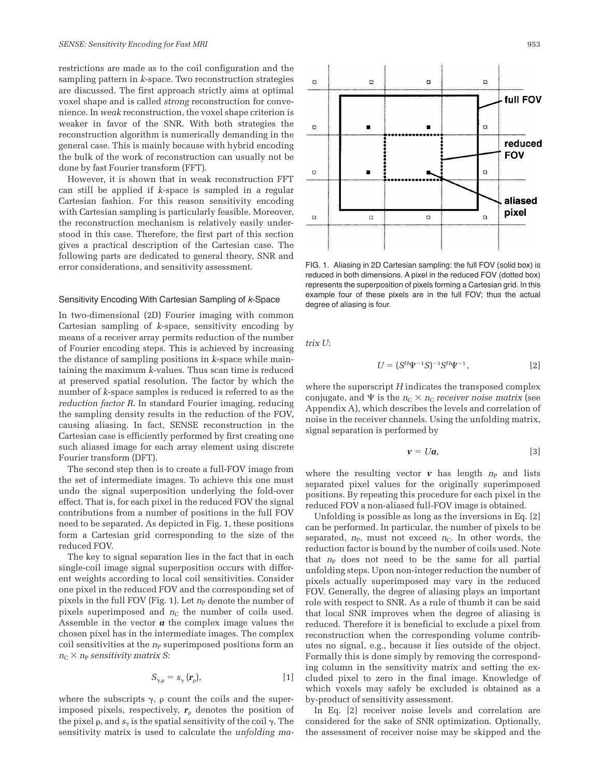restrictions are made as to the coil configuration and the sampling pattern in *k*-space. Two reconstruction strategies are discussed. The first approach strictly aims at optimal voxel shape and is called *strong* reconstruction for convenience. In *weak* reconstruction, the voxel shape criterion is weaker in favor of the SNR. With both strategies the reconstruction algorithm is numerically demanding in the general case. This is mainly because with hybrid encoding the bulk of the work of reconstruction can usually not be done by fast Fourier transform (FFT).

However, it is shown that in weak reconstruction FFT can still be applied if *k*-space is sampled in a regular Cartesian fashion. For this reason sensitivity encoding with Cartesian sampling is particularly feasible. Moreover, the reconstruction mechanism is relatively easily understood in this case. Therefore, the first part of this section gives a practical description of the Cartesian case. The following parts are dedicated to general theory, SNR and error considerations, and sensitivity assessment.

#### Sensitivity Encoding With Cartesian Sampling of k-Space

In two-dimensional (2D) Fourier imaging with common Cartesian sampling of *k*-space, sensitivity encoding by means of a receiver array permits reduction of the number of Fourier encoding steps. This is achieved by increasing the distance of sampling positions in *k*-space while maintaining the maximum *k*-values. Thus scan time is reduced at preserved spatial resolution. The factor by which the number of *k*-space samples is reduced is referred to as the *reduction factor R*. In standard Fourier imaging, reducing the sampling density results in the reduction of the FOV, causing aliasing. In fact, SENSE reconstruction in the Cartesian case is efficiently performed by first creating one such aliased image for each array element using discrete Fourier transform (DFT).

The second step then is to create a full-FOV image from the set of intermediate images. To achieve this one must undo the signal superposition underlying the fold-over effect. That is, for each pixel in the reduced FOV the signal contributions from a number of positions in the full FOV need to be separated. As depicted in Fig. 1, these positions form a Cartesian grid corresponding to the size of the reduced FOV.

The key to signal separation lies in the fact that in each single-coil image signal superposition occurs with different weights according to local coil sensitivities. Consider one pixel in the reduced FOV and the corresponding set of pixels in the full FOV (Fig. 1). Let  $n_P$  denote the number of pixels superimposed and  $n<sub>C</sub>$  the number of coils used. Assemble in the vector  $a$  the complex image values the chosen pixel has in the intermediate images. The complex coil sensitivities at the  $n_P$  superimposed positions form an  $n_{\rm C} \times n_{\rm P}$  *sensitivity matrix S*:

$$
S_{\gamma,\rho} = s_{\gamma} \left( \mathbf{r}_{\rho} \right), \tag{1}
$$

where the subscripts  $\gamma$ ,  $\rho$  count the coils and the superimposed pixels, respectively,  $r_{\rho}$  denotes the position of the pixel  $\rho$ , and  $s_{\gamma}$  is the spatial sensitivity of the coil  $\gamma$ . The sensitivity matrix is used to calculate the *unfolding ma-*



FIG. 1. Aliasing in 2D Cartesian sampling: the full FOV (solid box) is reduced in both dimensions. A pixel in the reduced FOV (dotted box) represents the superposition of pixels forming a Cartesian grid. In this example four of these pixels are in the full FOV; thus the actual degree of aliasing is four.

*trix U*:

$$
U = (S^H \Psi^{-1} S)^{-1} S^H \Psi^{-1}, \tag{2}
$$

where the superscript *H* indicates the transposed complex conjugate, and  $\Psi$  is the  $n_c \times n_c$  *receiver noise matrix* (see Appendix A), which describes the levels and correlation of noise in the receiver channels. Using the unfolding matrix, signal separation is performed by

$$
\mathbf{v} = U\mathbf{a},\tag{3}
$$

where the resulting vector  $\bf{v}$  has length  $n_{\rm{P}}$  and lists separated pixel values for the originally superimposed positions. By repeating this procedure for each pixel in the reduced FOV a non-aliased full-FOV image is obtained.

Unfolding is possible as long as the inversions in Eq. [2] can be performed. In particular, the number of pixels to be separated,  $n_P$ , must not exceed  $n_C$ . In other words, the reduction factor is bound by the number of coils used. Note that  $n_P$  does not need to be the same for all partial unfolding steps. Upon non-integer reduction the number of pixels actually superimposed may vary in the reduced FOV. Generally, the degree of aliasing plays an important role with respect to SNR. As a rule of thumb it can be said that local SNR improves when the degree of aliasing is reduced. Therefore it is beneficial to exclude a pixel from reconstruction when the corresponding volume contributes no signal, e.g., because it lies outside of the object. Formally this is done simply by removing the corresponding column in the sensitivity matrix and setting the excluded pixel to zero in the final image. Knowledge of which voxels may safely be excluded is obtained as a by-product of sensitivity assessment.

In Eq. [2] receiver noise levels and correlation are considered for the sake of SNR optimization. Optionally, the assessment of receiver noise may be skipped and the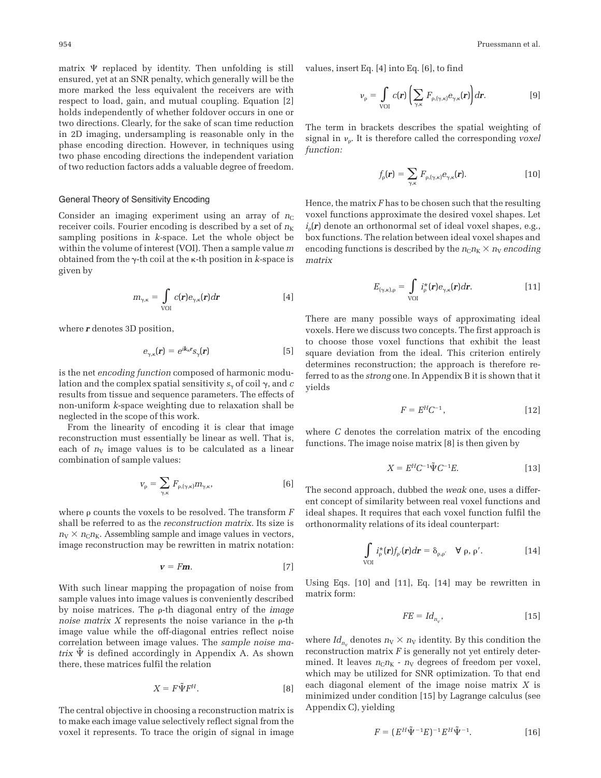matrix  $\Psi$  replaced by identity. Then unfolding is still ensured, yet at an SNR penalty, which generally will be the more marked the less equivalent the receivers are with respect to load, gain, and mutual coupling. Equation [2] holds independently of whether foldover occurs in one or two directions. Clearly, for the sake of scan time reduction in 2D imaging, undersampling is reasonable only in the phase encoding direction. However, in techniques using two phase encoding directions the independent variation of two reduction factors adds a valuable degree of freedom.

# General Theory of Sensitivity Encoding

Consider an imaging experiment using an array of  $n<sub>C</sub>$ receiver coils. Fourier encoding is described by a set of  $n<sub>K</sub>$ sampling positions in *k-*space. Let the whole object be within the volume of interest (VOI). Then a sample value *m* obtained from the  $\gamma$ -th coil at the  $\kappa$ -th position in *k*-space is given by

$$
m_{\gamma,\kappa} = \int_{\text{VOI}} c(\mathbf{r}) e_{\gamma,\kappa}(\mathbf{r}) d\mathbf{r}
$$
 [4]

where *r* denotes 3D position,

$$
e_{\gamma,\kappa}(\mathbf{r}) = e^{ik_{\kappa}r} s_{\gamma}(\mathbf{r}) \tag{5}
$$

is the net *encoding function* composed of harmonic modulation and the complex spatial sensitivity  $s<sub>y</sub>$  of coil  $\gamma$ , and *c* results from tissue and sequence parameters. The effects of non-uniform *k*-space weighting due to relaxation shall be neglected in the scope of this work.

From the linearity of encoding it is clear that image reconstruction must essentially be linear as well. That is, each of  $n<sub>V</sub>$  image values is to be calculated as a linear combination of sample values:

$$
v_{\rho} = \sum_{\gamma,\kappa} F_{\rho,(\gamma,\kappa)} m_{\gamma,\kappa}, \tag{6}
$$

where  $\rho$  counts the voxels to be resolved. The transform  $F$ shall be referred to as the *reconstruction matrix*. Its size is  $n_V \times n_C n_K$ . Assembling sample and image values in vectors, image reconstruction may be rewritten in matrix notation:

$$
v = Fm.
$$
 [7]

With such linear mapping the propagation of noise from sample values into image values is conveniently described by noise matrices. The  $\rho$ -th diagonal entry of the *image noise matrix X* represents the noise variance in the  $\rho$ -th image value while the off-diagonal entries reflect noise correlation between image values. The *sample noise matrix*  $\tilde{\Psi}$  is defined accordingly in Appendix A. As shown there, these matrices fulfil the relation

$$
X = F\tilde{\Psi}F^{H}.
$$
 [8]

The central objective in choosing a reconstruction matrix is to make each image value selectively reflect signal from the voxel it represents. To trace the origin of signal in image values, insert Eq. [4] into Eq. [6], to find

$$
\nu_{\rho} = \int_{\text{VOI}} c(\mathbf{r}) \left( \sum_{\gamma,\kappa} F_{\rho,(\gamma,\kappa)} e_{\gamma,\kappa}(\mathbf{r}) \right) d\mathbf{r}.
$$
 [9]

The term in brackets describes the spatial weighting of signal in  $v_{\rm o}$ . It is therefore called the corresponding *voxel function:*

$$
f_{\rho}(\mathbf{r}) = \sum_{\gamma,\kappa} F_{\rho,(\gamma,\kappa)} e_{\gamma,\kappa}(\mathbf{r}).
$$
 [10]

Hence, the matrix *F* has to be chosen such that the resulting voxel functions approximate the desired voxel shapes. Let  $i_p(\mathbf{r})$  denote an orthonormal set of ideal voxel shapes, e.g., box functions. The relation between ideal voxel shapes and encoding functions is described by the  $n_{C}n_{K} \times n_{V}$  *encoding matrix*

$$
E_{(\gamma,\kappa),\rho} = \int_{\text{VOI}} i_{\rho}^{*}(\mathbf{r}) e_{\gamma,\kappa}(\mathbf{r}) d\mathbf{r}.
$$
 [11]

There are many possible ways of approximating ideal voxels. Here we discuss two concepts. The first approach is to choose those voxel functions that exhibit the least square deviation from the ideal. This criterion entirely determines reconstruction; the approach is therefore referred to as the *strong* one*.* In Appendix B it is shown that it yields

$$
F = E^H C^{-1},\tag{12}
$$

where *C* denotes the correlation matrix of the encoding functions. The image noise matrix [8] is then given by

$$
X = E^H C^{-1} \tilde{\Psi} C^{-1} E. \tag{13}
$$

The second approach, dubbed the *weak* one, uses a different concept of similarity between real voxel functions and ideal shapes. It requires that each voxel function fulfil the orthonormality relations of its ideal counterpart:

$$
\int_{\text{VOI}} i_{\rho}^{*}(\mathbf{r}) f_{\rho'}(\mathbf{r}) d\mathbf{r} = \delta_{\rho,\rho'} \quad \forall \rho, \rho'.
$$
 [14]

Using Eqs. [10] and [11], Eq. [14] may be rewritten in matrix form:

$$
FE = Id_{n_v},\tag{15}
$$

where  $Id_n$  denotes  $n_V \times n_V$  identity. By this condition the reconstruction matrix *F* is generally not yet entirely determined. It leaves  $n_{C}n_{K}$  -  $n_{V}$  degrees of freedom per voxel, which may be utilized for SNR optimization. To that end each diagonal element of the image noise matrix *X* is minimized under condition [15] by Lagrange calculus (see Appendix C), yielding

$$
F = (E^H \tilde{\Psi}^{-1} E)^{-1} E^H \tilde{\Psi}^{-1}.
$$
 [16]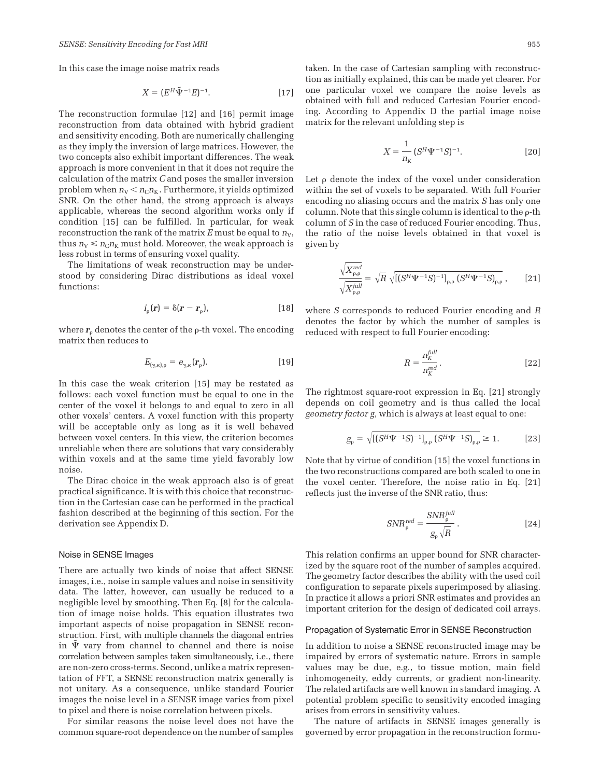In this case the image noise matrix reads

$$
X = (E^H \tilde{\Psi}^{-1} E)^{-1}.
$$
 [17]

The reconstruction formulae [12] and [16] permit image reconstruction from data obtained with hybrid gradient and sensitivity encoding. Both are numerically challenging as they imply the inversion of large matrices. However, the two concepts also exhibit important differences. The weak approach is more convenient in that it does not require the calculation of the matrix *C* and poses the smaller inversion problem when  $n_V < n_C n_K$ . Furthermore, it yields optimized SNR. On the other hand, the strong approach is always applicable, whereas the second algorithm works only if condition [15] can be fulfilled. In particular, for weak reconstruction the rank of the matrix  $E$  must be equal to  $n<sub>V</sub>$ , thus  $n_V \le n_C n_K$  must hold. Moreover, the weak approach is less robust in terms of ensuring voxel quality.

The limitations of weak reconstruction may be understood by considering Dirac distributions as ideal voxel functions:

$$
i_{\rho}(\mathbf{r}) = \delta(\mathbf{r} - \mathbf{r}_{\rho}), \qquad [18]
$$

where  $r_{p}$  denotes the center of the  $\rho$ -th voxel. The encoding matrix then reduces to

$$
E_{(\gamma,\kappa),\rho} = e_{\gamma,\kappa}(\mathbf{r}_{\rho}).
$$
\n[19]

In this case the weak criterion [15] may be restated as follows: each voxel function must be equal to one in the center of the voxel it belongs to and equal to zero in all other voxels' centers. A voxel function with this property will be acceptable only as long as it is well behaved between voxel centers. In this view, the criterion becomes unreliable when there are solutions that vary considerably within voxels and at the same time yield favorably low noise.

The Dirac choice in the weak approach also is of great practical significance. It is with this choice that reconstruction in the Cartesian case can be performed in the practical fashion described at the beginning of this section. For the derivation see Appendix D.

## Noise in SENSE Images

There are actually two kinds of noise that affect SENSE images, i.e., noise in sample values and noise in sensitivity data. The latter, however, can usually be reduced to a negligible level by smoothing. Then Eq. [8] for the calculation of image noise holds. This equation illustrates two important aspects of noise propagation in SENSE reconstruction. First, with multiple channels the diagonal entries in  $\Psi$  vary from channel to channel and there is noise correlation between samples taken simultaneously, i.e., there are non-zero cross-terms. Second, unlike a matrix representation of FFT, a SENSE reconstruction matrix generally is not unitary. As a consequence, unlike standard Fourier images the noise level in a SENSE image varies from pixel to pixel and there is noise correlation between pixels.

For similar reasons the noise level does not have the common square-root dependence on the number of samples taken. In the case of Cartesian sampling with reconstruction as initially explained, this can be made yet clearer. For one particular voxel we compare the noise levels as obtained with full and reduced Cartesian Fourier encoding. According to Appendix D the partial image noise matrix for the relevant unfolding step is

$$
X = \frac{1}{n_K} \left( S^H \Psi^{-1} S \right)^{-1} . \tag{20}
$$

Let  $\rho$  denote the index of the voxel under consideration within the set of voxels to be separated. With full Fourier encoding no aliasing occurs and the matrix *S* has only one column. Note that this single column is identical to the  $\rho$ -th column of *S* in the case of reduced Fourier encoding. Thus, the ratio of the noise levels obtained in that voxel is given by

$$
\frac{\sqrt{X_{\rho,\rho}^{red}}}{\sqrt{X_{\rho,\rho}^{full}}} = \sqrt{R} \sqrt{\left[ (S^H \Psi^{-1} S)^{-1} \right]_{\rho,\rho} \left( S^H \Psi^{-1} S \right)_{\rho,\rho}},
$$
 [21]

where *S* corresponds to reduced Fourier encoding and *R* denotes the factor by which the number of samples is reduced with respect to full Fourier encoding:

$$
R = \frac{n_K^{full}}{n_K^{red}}.
$$
 [22]

The rightmost square-root expression in Eq. [21] strongly depends on coil geometry and is thus called the local *geometry factor g,* which is always at least equal to one:

$$
g_{\rho} = \sqrt{\left[ (S^H \Psi^{-1} S)^{-1} \right]_{\rho, \rho} \left( S^H \Psi^{-1} S \right)_{\rho, \rho}} \ge 1. \tag{23}
$$

Note that by virtue of condition [15] the voxel functions in the two reconstructions compared are both scaled to one in the voxel center. Therefore, the noise ratio in Eq. [21] reflects just the inverse of the SNR ratio, thus:

$$
SNR_{\rho}^{red} = \frac{SNR_{\rho}^{full}}{g_{\rho}\sqrt{R}}.
$$
 [24]

This relation confirms an upper bound for SNR characterized by the square root of the number of samples acquired. The geometry factor describes the ability with the used coil configuration to separate pixels superimposed by aliasing. In practice it allows a priori SNR estimates and provides an important criterion for the design of dedicated coil arrays.

## Propagation of Systematic Error in SENSE Reconstruction

In addition to noise a SENSE reconstructed image may be impaired by errors of systematic nature. Errors in sample values may be due, e.g., to tissue motion, main field inhomogeneity, eddy currents, or gradient non-linearity. The related artifacts are well known in standard imaging. A potential problem specific to sensitivity encoded imaging arises from errors in sensitivity values.

The nature of artifacts in SENSE images generally is governed by error propagation in the reconstruction formu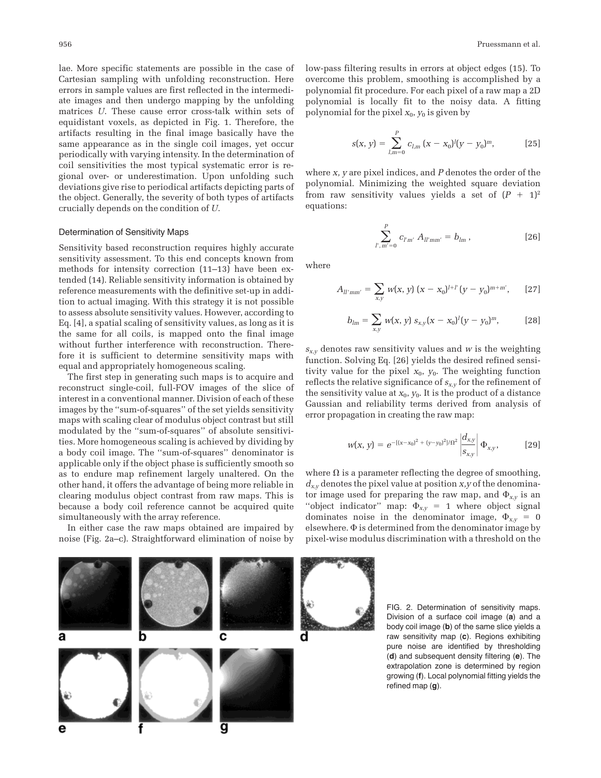lae. More specific statements are possible in the case of Cartesian sampling with unfolding reconstruction. Here errors in sample values are first reflected in the intermediate images and then undergo mapping by the unfolding matrices *U*. These cause error cross-talk within sets of equidistant voxels, as depicted in Fig. 1. Therefore, the artifacts resulting in the final image basically have the same appearance as in the single coil images, yet occur periodically with varying intensity. In the determination of coil sensitivities the most typical systematic error is regional over- or underestimation. Upon unfolding such deviations give rise to periodical artifacts depicting parts of the object. Generally, the severity of both types of artifacts crucially depends on the condition of *U*.

#### Determination of Sensitivity Maps

Sensitivity based reconstruction requires highly accurate sensitivity assessment. To this end concepts known from methods for intensity correction (11–13) have been extended (14). Reliable sensitivity information is obtained by reference measurements with the definitive set-up in addition to actual imaging. With this strategy it is not possible to assess absolute sensitivity values. However, according to Eq. [4], a spatial scaling of sensitivity values, as long as it is the same for all coils, is mapped onto the final image without further interference with reconstruction. Therefore it is sufficient to determine sensitivity maps with equal and appropriately homogeneous scaling.

The first step in generating such maps is to acquire and reconstruct single-coil, full-FOV images of the slice of interest in a conventional manner. Division of each of these images by the ''sum-of-squares'' of the set yields sensitivity maps with scaling clear of modulus object contrast but still modulated by the ''sum-of-squares'' of absolute sensitivities. More homogeneous scaling is achieved by dividing by a body coil image. The ''sum-of-squares'' denominator is applicable only if the object phase is sufficiently smooth so as to endure map refinement largely unaltered. On the other hand, it offers the advantage of being more reliable in clearing modulus object contrast from raw maps. This is because a body coil reference cannot be acquired quite simultaneously with the array reference.

In either case the raw maps obtained are impaired by noise (Fig. 2a–c). Straightforward elimination of noise by

low-pass filtering results in errors at object edges (15). To overcome this problem, smoothing is accomplished by a polynomial fit procedure. For each pixel of a raw map a 2D polynomial is locally fit to the noisy data. A fitting polynomial for the pixel  $x_0$ ,  $y_0$  is given by

$$
s(x, y) = \sum_{l,m=0}^{P} c_{l,m} (x - x_0)^l (y - y_0)^m, \qquad [25]
$$

where *x, y* are pixel indices, and *P* denotes the order of the polynomial. Minimizing the weighted square deviation from raw sensitivity values yields a set of  $(P + 1)^2$ equations:

*l*",

$$
\sum_{m'=0}^{P} c_{l'm'} A_{ll'mm'} = b_{lm} , \qquad [26]
$$

where

$$
A_{ll'mm'} = \sum_{x,y} w(x,y) (x-x_0)^{l+l'} (y-y_0)^{m+m'}, \qquad [27]
$$

$$
b_{lm} = \sum_{x,y} w(x,y) s_{x,y} (x - x_0)^l (y - y_0)^m, \qquad [28]
$$

*sx,y* denotes raw sensitivity values and *w* is the weighting function. Solving Eq. [26] yields the desired refined sensitivity value for the pixel  $x_0$ ,  $y_0$ . The weighting function reflects the relative significance of *sx,y* for the refinement of the sensitivity value at  $x_0$ ,  $y_0$ . It is the product of a distance Gaussian and reliability terms derived from analysis of error propagation in creating the raw map:

$$
w(x, y) = e^{-[(x-x_0)^2 + (y-y_0)^2]/\Omega^2} \left| \frac{d_{x,y}}{s_{x,y}} \right| \Phi_{x,y},
$$
 [29]

where  $\Omega$  is a parameter reflecting the degree of smoothing, *dx,y* denotes the pixel value at position *x,y* of the denominator image used for preparing the raw map, and  $\Phi_{x,y}$  is an "object indicator" map:  $\Phi_{x,y} = 1$  where object signal dominates noise in the denominator image,  $\Phi_{x,y} = 0$  $e$ lsewhere.  $\Phi$  is determined from the denominator image by pixel-wise modulus discrimination with a threshold on the



FIG. 2. Determination of sensitivity maps. Division of a surface coil image (**a**) and a body coil image (**b**) of the same slice yields a raw sensitivity map (**c**). Regions exhibiting pure noise are identified by thresholding (**d**) and subsequent density filtering (**e**). The extrapolation zone is determined by region growing (**f**). Local polynomial fitting yields the refined map (**g**).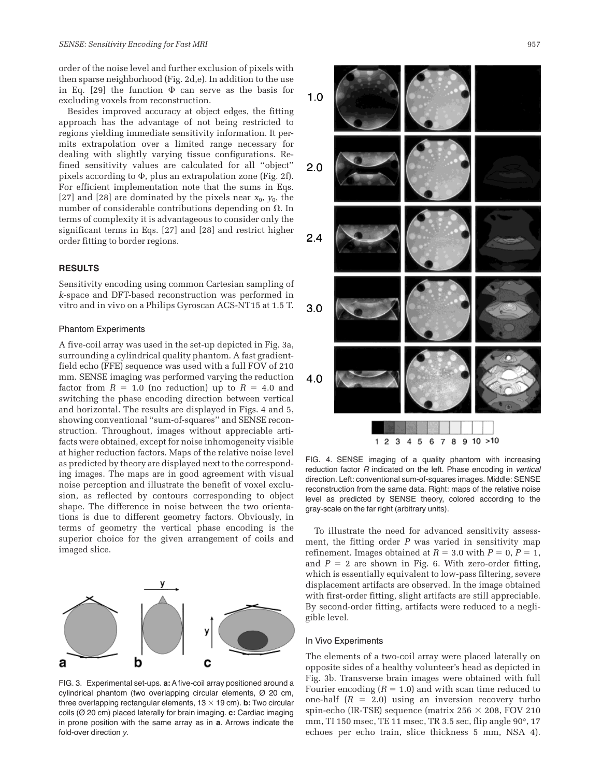order of the noise level and further exclusion of pixels with then sparse neighborhood (Fig. 2d,e). In addition to the use in Eq. [29] the function  $\Phi$  can serve as the basis for excluding voxels from reconstruction.

Besides improved accuracy at object edges, the fitting approach has the advantage of not being restricted to regions yielding immediate sensitivity information. It permits extrapolation over a limited range necessary for dealing with slightly varying tissue configurations. Refined sensitivity values are calculated for all ''object'' pixels according to  $\Phi$ , plus an extrapolation zone (Fig. 2f). For efficient implementation note that the sums in Eqs. [27] and [28] are dominated by the pixels near  $x_0$ ,  $y_0$ , the number of considerable contributions depending on  $\Omega$ . In terms of complexity it is advantageous to consider only the significant terms in Eqs. [27] and [28] and restrict higher order fitting to border regions.

# **RESULTS**

Sensitivity encoding using common Cartesian sampling of *k*-space and DFT-based reconstruction was performed in vitro and in vivo on a Philips Gyroscan ACS-NT15 at 1.5 T.

## Phantom Experiments

A five-coil array was used in the set-up depicted in Fig. 3a, surrounding a cylindrical quality phantom. A fast gradientfield echo (FFE) sequence was used with a full FOV of 210 mm. SENSE imaging was performed varying the reduction factor from  $R = 1.0$  (no reduction) up to  $R = 4.0$  and switching the phase encoding direction between vertical and horizontal. The results are displayed in Figs. 4 and 5, showing conventional ''sum-of-squares'' and SENSE reconstruction. Throughout, images without appreciable artifacts were obtained, except for noise inhomogeneity visible at higher reduction factors. Maps of the relative noise level as predicted by theory are displayed next to the corresponding images. The maps are in good agreement with visual noise perception and illustrate the benefit of voxel exclusion, as reflected by contours corresponding to object shape. The difference in noise between the two orientations is due to different geometry factors. Obviously, in terms of geometry the vertical phase encoding is the superior choice for the given arrangement of coils and imaged slice.



FIG. 3. Experimental set-ups. **a:**A five-coil array positioned around a cylindrical phantom (two overlapping circular elements, Ø 20 cm, three overlapping rectangular elements,  $13 \times 19$  cm). **b:** Two circular coils (Ø 20 cm) placed laterally for brain imaging. **c:** Cardiac imaging in prone position with the same array as in **a**. Arrows indicate the fold-over direction y.



FIG. 4. SENSE imaging of a quality phantom with increasing reduction factor R indicated on the left. Phase encoding in vertical direction. Left: conventional sum-of-squares images. Middle: SENSE reconstruction from the same data. Right: maps of the relative noise level as predicted by SENSE theory, colored according to the gray-scale on the far right (arbitrary units).

To illustrate the need for advanced sensitivity assessment, the fitting order *P* was varied in sensitivity map refinement. Images obtained at  $R = 3.0$  with  $P = 0$ ,  $P = 1$ , and  $P = 2$  are shown in Fig. 6. With zero-order fitting, which is essentially equivalent to low-pass filtering, severe displacement artifacts are observed. In the image obtained with first-order fitting, slight artifacts are still appreciable. By second-order fitting, artifacts were reduced to a negligible level.

## In Vivo Experiments

The elements of a two-coil array were placed laterally on opposite sides of a healthy volunteer's head as depicted in Fig. 3b. Transverse brain images were obtained with full Fourier encoding  $(R = 1.0)$  and with scan time reduced to one-half  $(R = 2.0)$  using an inversion recovery turbo spin-echo (IR-TSE) sequence (matrix  $256 \times 208$ , FOV 210 mm, TI 150 msec, TE 11 msec, TR 3.5 sec, flip angle 90°, 17 echoes per echo train, slice thickness 5 mm, NSA 4).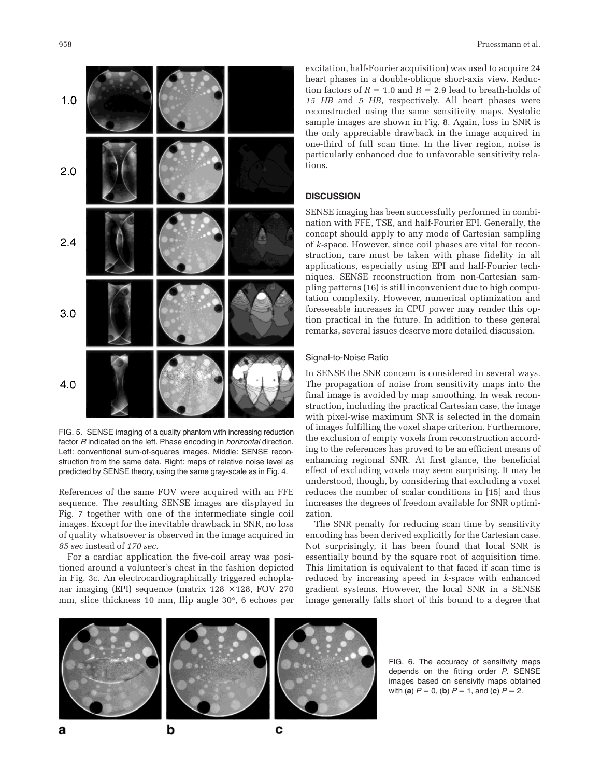

FIG. 5. SENSE imaging of a quality phantom with increasing reduction factor R indicated on the left. Phase encoding in horizontal direction. Left: conventional sum-of-squares images. Middle: SENSE reconstruction from the same data. Right: maps of relative noise level as predicted by SENSE theory, using the same gray-scale as in Fig. 4.

References of the same FOV were acquired with an FFE sequence. The resulting SENSE images are displayed in Fig. 7 together with one of the intermediate single coil images. Except for the inevitable drawback in SNR, no loss of quality whatsoever is observed in the image acquired in *85 sec* instead of *170 sec*.

For a cardiac application the five-coil array was positioned around a volunteer's chest in the fashion depicted in Fig. 3c. An electrocardiographically triggered echoplanar imaging (EPI) sequence (matrix  $128 \times 128$ , FOV 270 mm, slice thickness 10 mm, flip angle 30°, 6 echoes per excitation, half-Fourier acquisition) was used to acquire 24 heart phases in a double-oblique short-axis view. Reduction factors of  $R = 1.0$  and  $R = 2.9$  lead to breath-holds of *15 HB* and *5 HB*, respectively. All heart phases were reconstructed using the same sensitivity maps. Systolic sample images are shown in Fig. 8. Again, loss in SNR is the only appreciable drawback in the image acquired in one-third of full scan time. In the liver region, noise is particularly enhanced due to unfavorable sensitivity relations.

# **DISCUSSION**

SENSE imaging has been successfully performed in combination with FFE, TSE, and half-Fourier EPI. Generally, the concept should apply to any mode of Cartesian sampling of *k-*space. However, since coil phases are vital for reconstruction, care must be taken with phase fidelity in all applications, especially using EPI and half-Fourier techniques. SENSE reconstruction from non-Cartesian sampling patterns (16) is still inconvenient due to high computation complexity. However, numerical optimization and foreseeable increases in CPU power may render this option practical in the future. In addition to these general remarks, several issues deserve more detailed discussion.

# Signal-to-Noise Ratio

In SENSE the SNR concern is considered in several ways. The propagation of noise from sensitivity maps into the final image is avoided by map smoothing. In weak reconstruction, including the practical Cartesian case, the image with pixel-wise maximum SNR is selected in the domain of images fulfilling the voxel shape criterion. Furthermore, the exclusion of empty voxels from reconstruction according to the references has proved to be an efficient means of enhancing regional SNR. At first glance, the beneficial effect of excluding voxels may seem surprising. It may be understood, though, by considering that excluding a voxel reduces the number of scalar conditions in [15] and thus increases the degrees of freedom available for SNR optimization.

The SNR penalty for reducing scan time by sensitivity encoding has been derived explicitly for the Cartesian case. Not surprisingly, it has been found that local SNR is essentially bound by the square root of acquisition time. This limitation is equivalent to that faced if scan time is reduced by increasing speed in *k*-space with enhanced gradient systems. However, the local SNR in a SENSE image generally falls short of this bound to a degree that



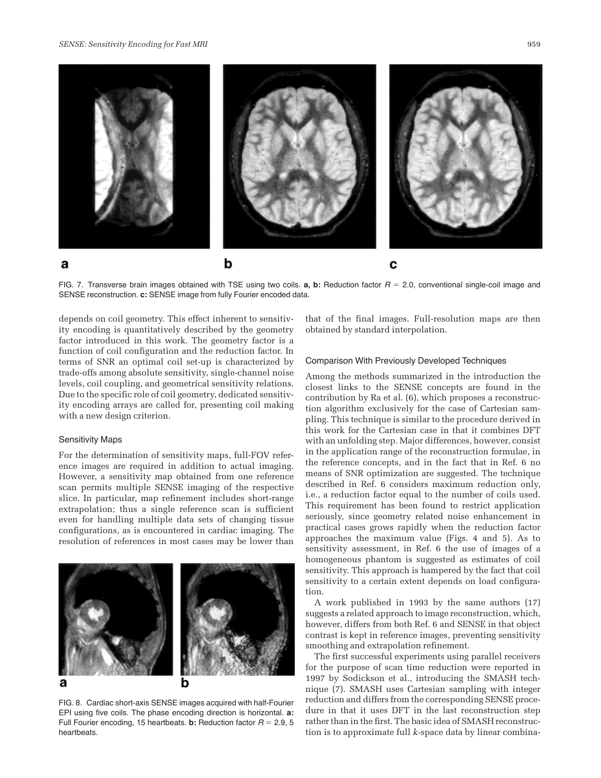

FIG. 7. Transverse brain images obtained with TSE using two coils.  $a, b$ : Reduction factor  $R = 2.0$ , conventional single-coil image and SENSE reconstruction. **c:** SENSE image from fully Fourier encoded data.

depends on coil geometry. This effect inherent to sensitivity encoding is quantitatively described by the geometry factor introduced in this work. The geometry factor is a function of coil configuration and the reduction factor. In terms of SNR an optimal coil set-up is characterized by trade-offs among absolute sensitivity, single-channel noise levels, coil coupling, and geometrical sensitivity relations. Due to the specific role of coil geometry, dedicated sensitivity encoding arrays are called for, presenting coil making with a new design criterion.

#### Sensitivity Maps

For the determination of sensitivity maps, full-FOV reference images are required in addition to actual imaging. However, a sensitivity map obtained from one reference scan permits multiple SENSE imaging of the respective slice. In particular, map refinement includes short-range extrapolation; thus a single reference scan is sufficient even for handling multiple data sets of changing tissue configurations, as is encountered in cardiac imaging. The resolution of references in most cases may be lower than



FIG. 8. Cardiac short-axis SENSE images acquired with half-Fourier EPI using five coils. The phase encoding direction is horizontal. **a:** Full Fourier encoding, 15 heartbeats. **b:** Reduction factor  $R = 2.9, 5$ heartbeats.

that of the final images. Full-resolution maps are then obtained by standard interpolation.

## Comparison With Previously Developed Techniques

Among the methods summarized in the introduction the closest links to the SENSE concepts are found in the contribution by Ra et al. (6), which proposes a reconstruction algorithm exclusively for the case of Cartesian sampling. This technique is similar to the procedure derived in this work for the Cartesian case in that it combines DFT with an unfolding step. Major differences, however, consist in the application range of the reconstruction formulae, in the reference concepts, and in the fact that in Ref. 6 no means of SNR optimization are suggested. The technique described in Ref. 6 considers maximum reduction only, i.e., a reduction factor equal to the number of coils used. This requirement has been found to restrict application seriously, since geometry related noise enhancement in practical cases grows rapidly when the reduction factor approaches the maximum value (Figs. 4 and 5). As to sensitivity assessment, in Ref. 6 the use of images of a homogeneous phantom is suggested as estimates of coil sensitivity. This approach is hampered by the fact that coil sensitivity to a certain extent depends on load configuration.

A work published in 1993 by the same authors (17) suggests a related approach to image reconstruction, which, however, differs from both Ref. 6 and SENSE in that object contrast is kept in reference images, preventing sensitivity smoothing and extrapolation refinement.

The first successful experiments using parallel receivers for the purpose of scan time reduction were reported in 1997 by Sodickson et al., introducing the SMASH technique (7). SMASH uses Cartesian sampling with integer reduction and differs from the corresponding SENSE procedure in that it uses DFT in the last reconstruction step rather than in the first. The basic idea of SMASH reconstruction is to approximate full *k-*space data by linear combina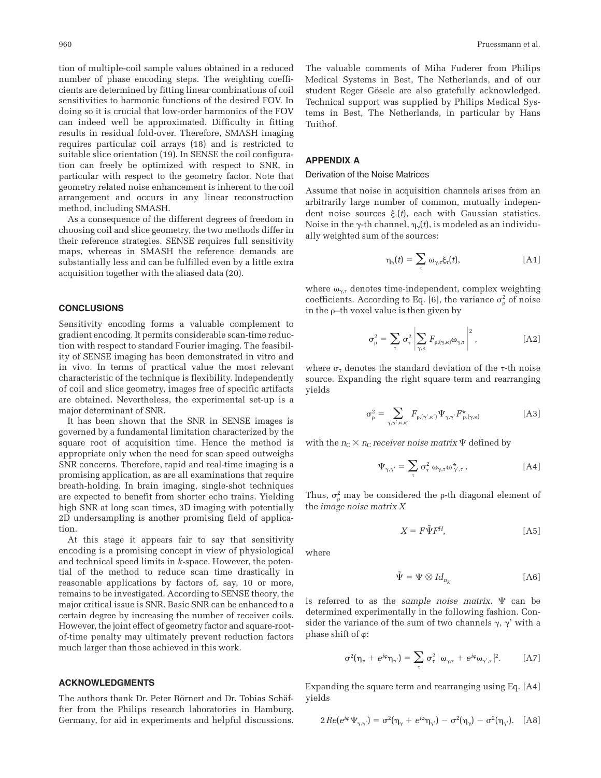tion of multiple-coil sample values obtained in a reduced number of phase encoding steps. The weighting coefficients are determined by fitting linear combinations of coil sensitivities to harmonic functions of the desired FOV. In doing so it is crucial that low-order harmonics of the FOV can indeed well be approximated. Difficulty in fitting results in residual fold-over. Therefore, SMASH imaging requires particular coil arrays (18) and is restricted to suitable slice orientation (19). In SENSE the coil configuration can freely be optimized with respect to SNR, in particular with respect to the geometry factor. Note that geometry related noise enhancement is inherent to the coil arrangement and occurs in any linear reconstruction method, including SMASH.

As a consequence of the different degrees of freedom in choosing coil and slice geometry, the two methods differ in their reference strategies. SENSE requires full sensitivity maps, whereas in SMASH the reference demands are substantially less and can be fulfilled even by a little extra acquisition together with the aliased data (20).

## **CONCLUSIONS**

Sensitivity encoding forms a valuable complement to gradient encoding. It permits considerable scan-time reduction with respect to standard Fourier imaging. The feasibility of SENSE imaging has been demonstrated in vitro and in vivo. In terms of practical value the most relevant characteristic of the technique is flexibility. Independently of coil and slice geometry, images free of specific artifacts are obtained. Nevertheless, the experimental set-up is a major determinant of SNR.

It has been shown that the SNR in SENSE images is governed by a fundamental limitation characterized by the square root of acquisition time. Hence the method is appropriate only when the need for scan speed outweighs SNR concerns. Therefore, rapid and real-time imaging is a promising application, as are all examinations that require breath-holding. In brain imaging, single-shot techniques are expected to benefit from shorter echo trains. Yielding high SNR at long scan times, 3D imaging with potentially 2D undersampling is another promising field of application.

At this stage it appears fair to say that sensitivity encoding is a promising concept in view of physiological and technical speed limits in *k-*space. However, the potential of the method to reduce scan time drastically in reasonable applications by factors of, say, 10 or more, remains to be investigated. According to SENSE theory, the major critical issue is SNR. Basic SNR can be enhanced to a certain degree by increasing the number of receiver coils. However, the joint effect of geometry factor and square-rootof-time penalty may ultimately prevent reduction factors much larger than those achieved in this work.

## **ACKNOWLEDGMENTS**

The authors thank Dr. Peter Börnert and Dr. Tobias Schäffter from the Philips research laboratories in Hamburg, Germany, for aid in experiments and helpful discussions. The valuable comments of Miha Fuderer from Philips Medical Systems in Best, The Netherlands, and of our student Roger Gösele are also gratefully acknowledged. Technical support was supplied by Philips Medical Systems in Best, The Netherlands, in particular by Hans Tuithof.

# **APPENDIX A**

#### Derivation of the Noise Matrices

Assume that noise in acquisition channels arises from an arbitrarily large number of common, mutually independent noise sources  $\xi_{\tau}(t)$ , each with Gaussian statistics. Noise in the  $\gamma$ -th channel,  $\eta_{\gamma}(t)$ , is modeled as an individually weighted sum of the sources:

$$
\eta_{\gamma}(t) = \sum_{\tau} \omega_{\gamma,\tau} \xi_{\tau}(t), \qquad [A1]
$$

where  $\omega_{\gamma,\tau}$  denotes time-independent, complex weighting coefficients. According to Eq. [6], the variance  $\sigma_{\rho}^2$  of noise in the  $\rho$ –th voxel value is then given by

$$
\sigma_{\rho}^2 = \sum_{\tau} \sigma_{\tau}^2 \left| \sum_{\gamma,\kappa} F_{\rho,(\gamma,\kappa)} \omega_{\gamma,\tau} \right|^2, \tag{A2}
$$

where  $\sigma_{\tau}$  denotes the standard deviation of the  $\tau$ -th noise source. Expanding the right square term and rearranging yields

$$
\sigma_{\rho}^{2} = \sum_{\gamma,\gamma',\kappa,\kappa'} F_{\rho,(\gamma',\kappa')} \Psi_{\gamma,\gamma'} F_{\rho,(\gamma,\kappa)}^{*}
$$
 [A3]

with the  $n_c \times n_c$  *receiver noise matrix*  $\Psi$  defined by

$$
\Psi_{\gamma,\gamma'} = \sum_{\tau} \sigma_{\tau}^2 \omega_{\gamma,\tau} \omega_{\gamma',\tau}^* . \qquad [A4]
$$

Thus,  $\sigma_{\rho}^2$  may be considered the  $\rho$ -th diagonal element of the *image noise matrix X*

$$
X = F\tilde{\Psi}F^{H},\tag{A5}
$$

where

$$
\tilde{\Psi} = \Psi \otimes Id_{n_K} \tag{A6}
$$

is referred to as the *sample noise matrix*.  $\Psi$  can be determined experimentally in the following fashion. Consider the variance of the sum of two channels  $\gamma$ ,  $\gamma'$  with a phase shift of  $\varphi$ :

$$
\sigma^2(\eta_\gamma + e^{i\phi}\eta_{\gamma'}) = \sum_{\tau} \sigma^2_{\tau} |\omega_{\gamma,\tau} + e^{i\phi}\omega_{\gamma',\tau}|^2.
$$
 [A7]

Expanding the square term and rearranging using Eq. [A4] yields

$$
2\operatorname{Re}(e^{i\varphi}\Psi_{\gamma,\gamma'})=\sigma^2(\eta_{\gamma}+e^{i\varphi}\eta_{\gamma'})-\sigma^2(\eta_{\gamma})-\sigma^2(\eta_{\gamma'}).
$$
 [A8]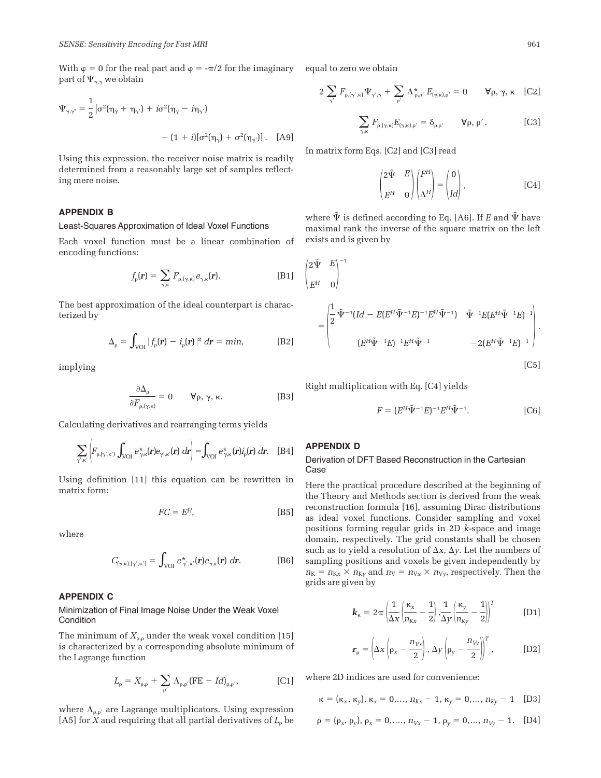With  $\varphi = 0$  for the real part and  $\varphi = -\pi/2$  for the imaginary equal to zero we obtain part of  $\Psi_{\gamma,\gamma}$  we obtain

$$
\Psi_{\gamma,\gamma''} = \frac{1}{2} \left[ \sigma^2 (\eta_\gamma + \eta_{\gamma'}) + i \sigma^2 (\eta_\gamma - i \eta_{\gamma'}) - (1 + i) [\sigma^2 (\eta_\gamma) + \sigma^2 (\eta_{\gamma'})] \right]. \quad [A9]
$$

Using this expression, the receiver noise matrix is readily determined from a reasonably large set of samples reflecting mere noise.

# **APPENDIX B**

# Least-Squares Approximation of Ideal Voxel Functions

Each voxel function must be a linear combination of encoding functions:

$$
f_{\rho}(\mathbf{r}) = \sum_{\gamma,\kappa} F_{\rho,(\gamma,\kappa)} e_{\gamma,\kappa}(\mathbf{r}).
$$
 [B1]

The best approximation of the ideal counterpart is characterized by

$$
\Delta_{\rho} = \int_{\text{VOI}} |f_{\rho}(\mathbf{r}) - i_{\rho}(\mathbf{r})|^2 \, d\mathbf{r} = \text{min}, \tag{B2}
$$

implying

$$
\frac{\partial \Delta_{\rho}}{\partial F_{\rho,(\gamma,\kappa)}} = 0 \qquad \forall \rho, \gamma, \kappa.
$$
 [B3]

Calculating derivatives and rearranging terms yields

$$
\sum_{\gamma',\kappa'} \left| F_{\rho,\left(\gamma',\kappa'\right)} \int_{\text{VOI}} e^*_{\gamma,\kappa}(\mathbf{r}) e_{\gamma',\kappa'}(\mathbf{r}) \, d\mathbf{r} \right| = \int_{\text{VOI}} e^*_{\gamma,\kappa}(\mathbf{r}) i_{\rho}(\mathbf{r}) \, d\mathbf{r}.
$$
 [B4]

Using definition [11] this equation can be rewritten in matrix form:

$$
FC = E^H,\tag{B5}
$$

where

$$
C_{(\gamma,\kappa),(\gamma',\kappa')} = \int_{\text{VOI}} e^*_{\gamma',\kappa'}(\mathbf{r}) e_{\gamma,\kappa}(\mathbf{r}) \, d\mathbf{r}.
$$
 [B6]

## **APPENDIX C**

Minimization of Final Image Noise Under the Weak Voxel **Condition** 

The minimum of  $X_{\rho,\rho}$  under the weak voxel condition [15] is characterized by a corresponding absolute minimum of the Lagrange function

$$
L_{\rho} = X_{\rho,\rho} + \sum_{\rho'} \Lambda_{\rho,\rho'} (FE - Id)_{\rho,\rho'}, \qquad [C1]
$$

where  $\Lambda_{\rho,\rho'}$  are Lagrange multiplicators. Using expression [A5] for *X* and requiring that all partial derivatives of  $L_p$  be

$$
2\sum_{\gamma'} F_{\rho,(\gamma',\kappa)} \Psi_{\gamma',\gamma} + \sum_{\rho'} \Lambda_{\rho,\rho'}^* E_{(\gamma,\kappa),\rho'} = 0 \qquad \forall \rho,\gamma,\kappa \quad [C2]
$$

$$
\sum_{\gamma,\kappa} F_{\rho,(\gamma,\kappa)} E_{(\gamma,\kappa),\rho'} = \delta_{\rho,\rho'} \qquad \forall \rho,\,\rho'.
$$
 [C3]

In matrix form Eqs. [C2] and [C3] read

$$
\begin{pmatrix} 2\tilde{\Psi} & E \\ E^H & 0 \end{pmatrix} \begin{pmatrix} F^H \\ \Lambda^H \end{pmatrix} = \begin{pmatrix} 0 \\ Id \end{pmatrix},
$$
 [C4]

where  $\tilde{\Psi}$  is defined according to Eq. [A6]. If *E* and  $\tilde{\Psi}$  have maximal rank the inverse of the square matrix on the left exists and is given by

$$
2\tilde{\Psi} E\begin{pmatrix} -1 \\ 0 \end{pmatrix}^{T}
$$
  
= 
$$
\begin{pmatrix} \frac{1}{2} \tilde{\Psi}^{-1} (Id - E(E^{H} \tilde{\Psi}^{-1} E)^{-1} E^{H} \tilde{\Psi}^{-1}) & \tilde{\Psi}^{-1} E(E^{H} \tilde{\Psi}^{-1} E)^{-1} \\ & & \\ (E^{H} \tilde{\Psi}^{-1} E)^{-1} E^{H} \tilde{\Psi}^{-1} & -2(E^{H} \tilde{\Psi}^{-1} E)^{-1} \end{pmatrix}.
$$
 [C5]

Right multiplication with Eq. [C4] yields

$$
F = (E^H \tilde{\Psi}^{-1} E)^{-1} E^H \tilde{\Psi}^{-1}.
$$
 [C6]

# **APPENDIX D**

1

Derivation of DFT Based Reconstruction in the Cartesian Case

Here the practical procedure described at the beginning of the Theory and Methods section is derived from the weak reconstruction formula [16], assuming Dirac distributions as ideal voxel functions. Consider sampling and voxel positions forming regular grids in 2D *k-*space and image domain, respectively. The grid constants shall be chosen such as to yield a resolution of  $\Delta x$ ,  $\Delta y$ . Let the numbers of sampling positions and voxels be given independently by  $n_K = n_{Kx} \times n_{Ky}$  and  $n_V = n_{Vx} \times n_{Vy}$ , respectively. Then the grids are given by

$$
\mathbf{k}_{\kappa} = 2\pi \left| \frac{1}{\Delta x} \left| \frac{\kappa_{x}}{n_{Kx}} - \frac{1}{2} \right|, \frac{1}{\Delta y} \left| \frac{\kappa_{y}}{n_{Ky}} - \frac{1}{2} \right| \right|^{T} \quad \text{[D1]}
$$

$$
\mathbf{r}_{\rho} = \left(\Delta x \left(\rho_{x} - \frac{n_{Vx}}{2}\right), \Delta y \left(\rho_{y} - \frac{n_{Vy}}{2}\right)\right)^{T}, \quad [D2]
$$

where 2D indices are used for convenience:

$$
\kappa = (\kappa_x, \kappa_y), \kappa_x = 0, ..., n_{Kx} - 1, \kappa_y = 0, ..., n_{Ky} - 1 \quad [D3]
$$

$$
\rho = (\rho_x, \rho_y), \rho_x = 0, \dots, n_{Vx} - 1, \rho_y = 0, \dots, n_{Vy} - 1.
$$
 [D4]